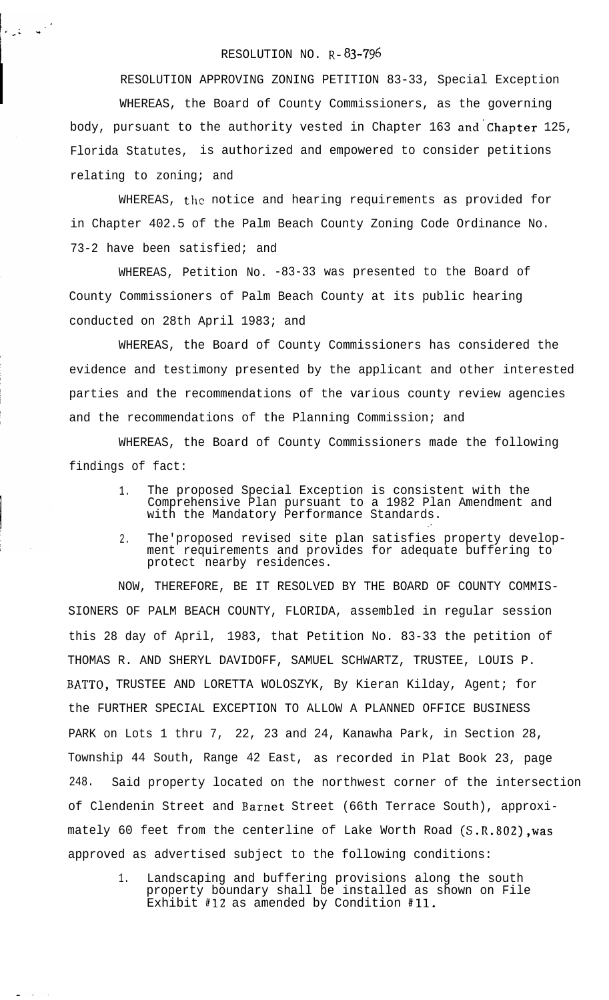## RESOLUTION NO. R-83-796

المعلمين.<br>المعلمين الأول

RESOLUTION APPROVING ZONING PETITION 83-33, Special Exception

WHEREAS, the Board of County Commissioners, as the governing body, pursuant to the authority vested in Chapter 163 and'chapter 125, Florida Statutes, is authorized and empowered to consider petitions relating to zoning; and

WHEREAS, the notice and hearing requirements as provided for in Chapter 402.5 of the Palm Beach County Zoning Code Ordinance No. 73-2 have been satisfied; and

WHEREAS, Petition No. -83-33 was presented to the Board of County Commissioners of Palm Beach County at its public hearing conducted on 28th April 1983; and

WHEREAS, the Board of County Commissioners has considered the evidence and testimony presented by the applicant and other interested parties and the recommendations of the various county review agencies and the recommendations of the Planning Commission; and

WHEREAS, the Board of County Commissioners made the following findings of fact:

- 1. The proposed Special Exception is consistent with the Comprehensive Plan pursuant to a 1982 Plan Amendment and with the Mandatory Performance Standards.
- 2. The'proposed revised site plan satisfies property development requirements and provides for adequate buffering to protect nearby residences.

:

NOW, THEREFORE, BE IT RESOLVED BY THE BOARD OF COUNTY COMMIS-SIONERS OF PALM BEACH COUNTY, FLORIDA, assembled in regular session this 28 day of April, 1983, that Petition No. 83-33 the petition of THOMAS R. AND SHERYL DAVIDOFF, SAMUEL SCHWARTZ, TRUSTEE, LOUIS P. BATTO, TRUSTEE AND LORETTA WOLOSZYK, By Kieran Kilday, Agent; for the FURTHER SPECIAL EXCEPTION TO ALLOW A PLANNED OFFICE BUSINESS PARK on Lots 1 thru 7, 22, 23 and 24, Kanawha Park, in Section 28, Township 44 South, Range 42 East, as recorded in Plat Book 23, page 248. Said property located on the northwest corner of the intersection of Clendenin Street and Barnet Street (66th Terrace South), approximately 60 feet from the centerline of Lake Worth Road (S.R.802), was approved as advertised subject to the following conditions:

1. Landscaping and buffering provisions along the south property boundary shall be installed as shown on File Exhibit #12 as amended by Condition #Il.